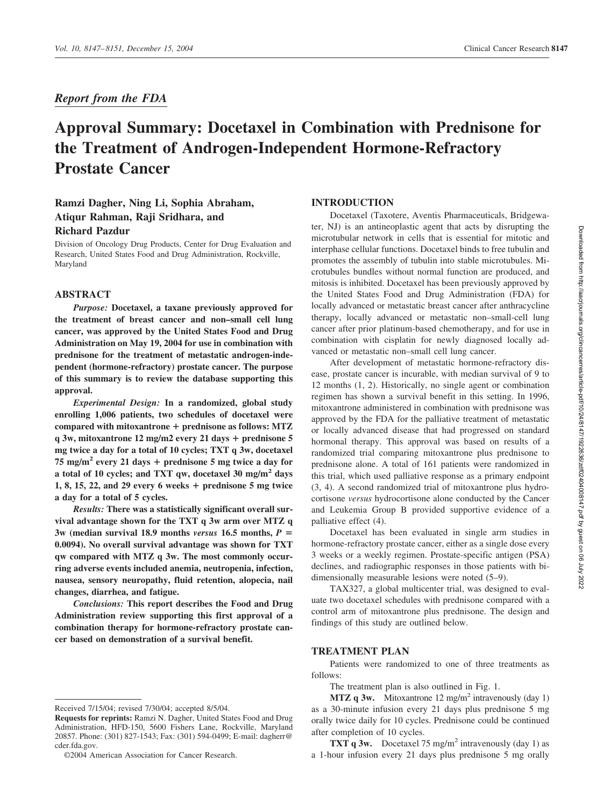# *Report from the FDA*

# **Approval Summary: Docetaxel in Combination with Prednisone for the Treatment of Androgen-Independent Hormone-Refractory Prostate Cancer**

# **Ramzi Dagher, Ning Li, Sophia Abraham, Atiqur Rahman, Raji Sridhara, and Richard Pazdur**

Division of Oncology Drug Products, Center for Drug Evaluation and Research, United States Food and Drug Administration, Rockville, Maryland

# **ABSTRACT**

*Purpose:* **Docetaxel, a taxane previously approved for the treatment of breast cancer and non–small cell lung cancer, was approved by the United States Food and Drug Administration on May 19, 2004 for use in combination with prednisone for the treatment of metastatic androgen-independent (hormone-refractory) prostate cancer. The purpose of this summary is to review the database supporting this approval.**

*Experimental Design:* **In a randomized, global study enrolling 1,006 patients, two schedules of docetaxel were compared with mitoxantrone prednisone as follows: MTZ q 3w, mitoxantrone 12 mg/m2 every 21 days prednisone 5 mg twice a day for a total of 10 cycles; TXT q 3w, docetaxel 75 mg/m2 every 21 days prednisone 5 mg twice a day for a total of 10 cycles; and TXT qw, docetaxel 30 mg/m2 days 1, 8, 15, 22, and 29 every 6 weeks prednisone 5 mg twice a day for a total of 5 cycles.**

*Results:* **There was a statistically significant overall survival advantage shown for the TXT q 3w arm over MTZ q**  $3w$  (median survival 18.9 months *versus* 16.5 months,  $P =$ **0.0094). No overall survival advantage was shown for TXT qw compared with MTZ q 3w. The most commonly occurring adverse events included anemia, neutropenia, infection, nausea, sensory neuropathy, fluid retention, alopecia, nail changes, diarrhea, and fatigue.**

*Conclusions:* **This report describes the Food and Drug Administration review supporting this first approval of a combination therapy for hormone-refractory prostate cancer based on demonstration of a survival benefit.**

# **INTRODUCTION**

Docetaxel (Taxotere, Aventis Pharmaceuticals, Bridgewater, NJ) is an antineoplastic agent that acts by disrupting the microtubular network in cells that is essential for mitotic and interphase cellular functions. Docetaxel binds to free tubulin and promotes the assembly of tubulin into stable microtubules. Microtubules bundles without normal function are produced, and mitosis is inhibited. Docetaxel has been previously approved by the United States Food and Drug Administration (FDA) for locally advanced or metastatic breast cancer after anthracycline therapy, locally advanced or metastatic non–small-cell lung cancer after prior platinum-based chemotherapy, and for use in combination with cisplatin for newly diagnosed locally advanced or metastatic non–small cell lung cancer.

After development of metastatic hormone-refractory disease, prostate cancer is incurable, with median survival of 9 to 12 months (1, 2). Historically, no single agent or combination regimen has shown a survival benefit in this setting. In 1996, mitoxantrone administered in combination with prednisone was approved by the FDA for the palliative treatment of metastatic or locally advanced disease that had progressed on standard hormonal therapy. This approval was based on results of a randomized trial comparing mitoxantrone plus prednisone to prednisone alone. A total of 161 patients were randomized in this trial, which used palliative response as a primary endpoint (3, 4). A second randomized trial of mitoxantrone plus hydrocortisone *versus* hydrocortisone alone conducted by the Cancer and Leukemia Group B provided supportive evidence of a palliative effect (4).

Docetaxel has been evaluated in single arm studies in hormone-refractory prostate cancer, either as a single dose every 3 weeks or a weekly regimen. Prostate-specific antigen (PSA) declines, and radiographic responses in those patients with bidimensionally measurable lesions were noted (5–9).

TAX327, a global multicenter trial, was designed to evaluate two docetaxel schedules with prednisone compared with a control arm of mitoxantrone plus prednisone. The design and findings of this study are outlined below.

# **TREATMENT PLAN**

Patients were randomized to one of three treatments as follows:

The treatment plan is also outlined in Fig. 1.

**MTZ q 3w.** Mitoxantrone 12 mg/m<sup>2</sup> intravenously (day 1) as a 30-minute infusion every 21 days plus prednisone 5 mg orally twice daily for 10 cycles. Prednisone could be continued after completion of 10 cycles.

**TXT q 3w.** Docetaxel 75 mg/m<sup>2</sup> intravenously (day 1) as a 1-hour infusion every 21 days plus prednisone 5 mg orally

Received 7/15/04; revised 7/30/04; accepted 8/5/04.

**Requests for reprints:** Ramzi N. Dagher, United States Food and Drug Administration, HFD-150, 5600 Fishers Lane, Rockville, Maryland 20857. Phone: (301) 827-1543; Fax: (301) 594-0499; E-mail: dagherr@ cder.fda.gov.

<sup>©2004</sup> American Association for Cancer Research.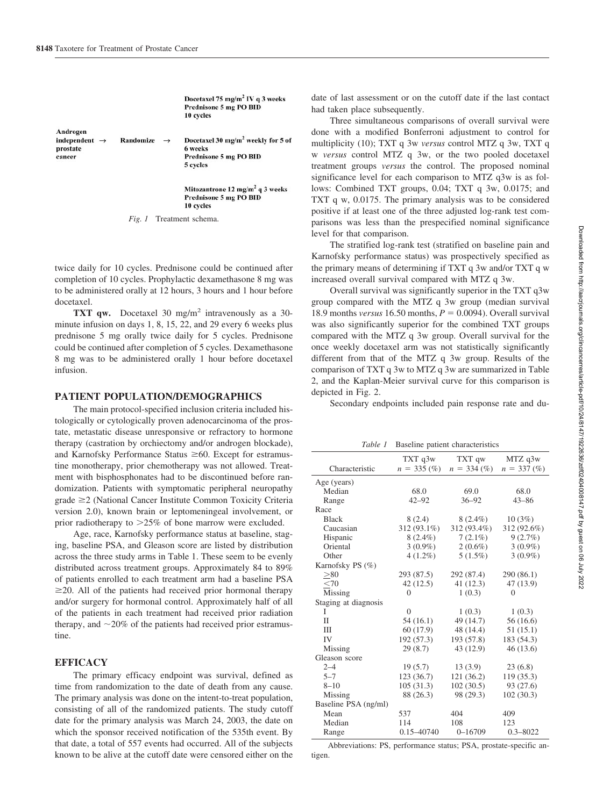**Randomize** 

Docetaxel 75 mg/m<sup>2</sup> IV q 3 weeks Prednisone 5 mg PO BID 10 cycles

Androgen independent  $\rightarrow$ prostate cancer

Docetaxel 30 mg/m<sup>2</sup> weekly for 5 of 6 weeks Prednisone 5 mg PO BID 5 cycles

Mitozantrone 12 mg/m<sup>2</sup> q 3 weeks Prednisone 5 mg PO BID 10 cycles

*Fig. 1* Treatment schema.

 $\rightarrow$ 

twice daily for 10 cycles. Prednisone could be continued after completion of 10 cycles. Prophylactic dexamethasone 8 mg was to be administered orally at 12 hours, 3 hours and 1 hour before docetaxel.

**TXT qw.** Docetaxel 30 mg/m<sup>2</sup> intravenously as a 30minute infusion on days 1, 8, 15, 22, and 29 every 6 weeks plus prednisone 5 mg orally twice daily for 5 cycles. Prednisone could be continued after completion of 5 cycles. Dexamethasone 8 mg was to be administered orally 1 hour before docetaxel infusion.

#### **PATIENT POPULATION/DEMOGRAPHICS**

The main protocol-specified inclusion criteria included histologically or cytologically proven adenocarcinoma of the prostate, metastatic disease unresponsive or refractory to hormone therapy (castration by orchiectomy and/or androgen blockade), and Karnofsky Performance Status  $\geq 60$ . Except for estramustine monotherapy, prior chemotherapy was not allowed. Treatment with bisphosphonates had to be discontinued before randomization. Patients with symptomatic peripheral neuropathy  $grade \geq 2$  (National Cancer Institute Common Toxicity Criteria version 2.0), known brain or leptomeningeal involvement, or prior radiotherapy to 25% of bone marrow were excluded.

Age, race, Karnofsky performance status at baseline, staging, baseline PSA, and Gleason score are listed by distribution across the three study arms in Table 1. These seem to be evenly distributed across treatment groups. Approximately 84 to 89% of patients enrolled to each treatment arm had a baseline PSA  $\geq$ 20. All of the patients had received prior hormonal therapy and/or surgery for hormonal control. Approximately half of all of the patients in each treatment had received prior radiation therapy, and  $\sim$  20% of the patients had received prior estramustine.

#### **EFFICACY**

The primary efficacy endpoint was survival, defined as time from randomization to the date of death from any cause. The primary analysis was done on the intent-to-treat population, consisting of all of the randomized patients. The study cutoff date for the primary analysis was March 24, 2003, the date on which the sponsor received notification of the 535th event. By that date, a total of 557 events had occurred. All of the subjects known to be alive at the cutoff date were censored either on the

date of last assessment or on the cutoff date if the last contact had taken place subsequently.

Three simultaneous comparisons of overall survival were done with a modified Bonferroni adjustment to control for multiplicity (10); TXT q 3w *versus* control MTZ q 3w, TXT q w *versus* control MTZ q 3w, or the two pooled docetaxel treatment groups *versus* the control. The proposed nominal significance level for each comparison to MTZ q3w is as follows: Combined TXT groups, 0.04; TXT q 3w, 0.0175; and TXT q w, 0.0175. The primary analysis was to be considered positive if at least one of the three adjusted log-rank test comparisons was less than the prespecified nominal significance level for that comparison.

The stratified log-rank test (stratified on baseline pain and Karnofsky performance status) was prospectively specified as the primary means of determining if TXT q 3w and/or TXT q w increased overall survival compared with MTZ q 3w.

Overall survival was significantly superior in the TXT q3w group compared with the MTZ q 3w group (median survival 18.9 months *versus* 16.50 months,  $P = 0.0094$ ). Overall survival was also significantly superior for the combined TXT groups compared with the MTZ q 3w group. Overall survival for the once weekly docetaxel arm was not statistically significantly different from that of the MTZ q 3w group. Results of the comparison of TXT q 3w to MTZ q 3w are summarized in Table 2, and the Kaplan-Meier survival curve for this comparison is depicted in Fig. 2.

Secondary endpoints included pain response rate and du-

*Table 1* Baseline patient characteristics

|                      | TXT qw<br>TXT q3w |                | MTZ q3w        |
|----------------------|-------------------|----------------|----------------|
| Characteristic       | $n = 335 \, (\%)$ | $n = 334\ (%)$ | $n = 337\,(%)$ |
| Age (years)          |                   |                |                |
| Median               | 68.0              | 69.0           | 68.0           |
| Range                | $42 - 92$         | $36 - 92$      | $43 - 86$      |
| Race                 |                   |                |                |
| <b>Black</b>         | 8(2.4)            | $8(2.4\%)$     | 10(3%)         |
| Caucasian            | 312 (93.1%)       | 312 (93.4%)    | 312 (92.6%)    |
| Hispanic             | $8(2.4\%)$        | $7(2.1\%)$     | 9(2.7%)        |
| Oriental             | $3(0.9\%)$        | $2(0.6\%)$     | $3(0.9\%)$     |
| Other                | $4(1.2\%)$        | $5(1.5\%)$     | $3(0.9\%)$     |
| Karnofsky PS (%)     |                   |                |                |
| > 80                 | 293 (87.5)        | 292 (87.4)     | 290 (86.1)     |
| <70                  | 42(12.5)          | 41 (12.3)      | 47 (13.9)      |
| Missing              | $\theta$          | 1(0.3)         | $\Omega$       |
| Staging at diagnosis |                   |                |                |
| I                    | $\theta$          | 1(0.3)         | 1(0.3)         |
| П                    | 54 (16.1)         | 49 (14.7)      | 56 (16.6)      |
| Ш                    | 60(17.9)          | 48 (14.4)      | 51(15.1)       |
| IV                   | 192(57.3)         | 193 (57.8)     | 183 (54.3)     |
| Missing              | 29(8.7)           | 43 (12.9)      | 46 (13.6)      |
| Gleason score        |                   |                |                |
| $2 - 4$              | 19(5.7)           | 13(3.9)        | 23(6.8)        |
| $5 - 7$              | 123 (36.7)        | 121 (36.2)     | 119 (35.3)     |
| $8 - 10$             | 105(31.3)         | 102(30.5)      | 93 (27.6)      |
| Missing              | 88 (26.3)         | 98 (29.3)      | 102(30.3)      |
| Baseline PSA (ng/ml) |                   |                |                |
| Mean                 | 537               | 404            | 409            |
| Median               | 114               | 108            | 123            |
| Range                | 0.15-40740        | $0 - 16709$    | $0.3 - 8022$   |

Abbreviations: PS, performance status; PSA, prostate-specific antigen.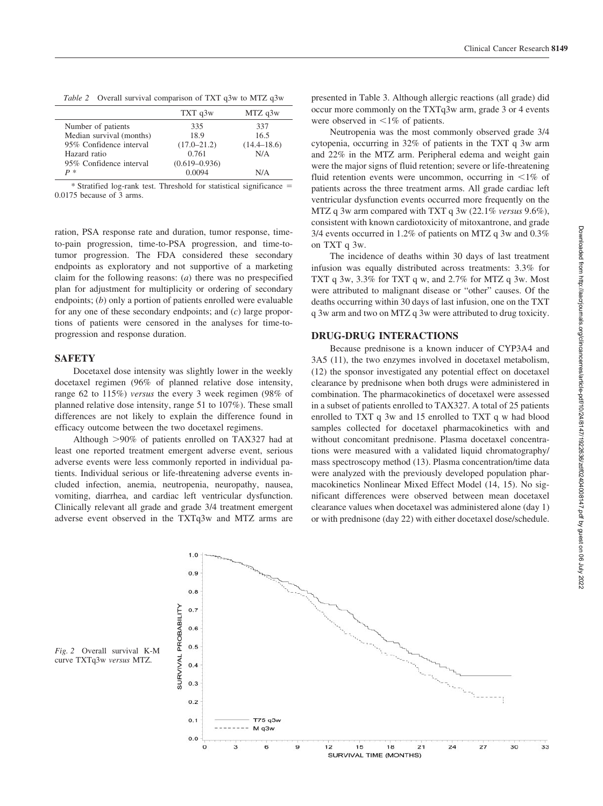*Table 2* Overall survival comparison of TXT q3w to MTZ q3w

|                          | TXT q3w           | MTZ q3w         |
|--------------------------|-------------------|-----------------|
| Number of patients       | 335               | 337             |
| Median survival (months) | 18.9              | 16.5            |
| 95% Confidence interval  | $(17.0 - 21.2)$   | $(14.4 - 18.6)$ |
| Hazard ratio             | 0.761             | N/A             |
| 95% Confidence interval  | $(0.619 - 0.936)$ |                 |
| $P *$                    | 0.0094            | N/A             |

\* Stratified log-rank test. Threshold for statistical significance 0.0175 because of 3 arms.

ration, PSA response rate and duration, tumor response, timeto-pain progression, time-to-PSA progression, and time-totumor progression. The FDA considered these secondary endpoints as exploratory and not supportive of a marketing claim for the following reasons: (*a*) there was no prespecified plan for adjustment for multiplicity or ordering of secondary endpoints; (*b*) only a portion of patients enrolled were evaluable for any one of these secondary endpoints; and (*c*) large proportions of patients were censored in the analyses for time-toprogression and response duration.

# **SAFETY**

Docetaxel dose intensity was slightly lower in the weekly docetaxel regimen (96% of planned relative dose intensity, range 62 to 115%) *versus* the every 3 week regimen (98% of planned relative dose intensity, range 51 to 107%). These small differences are not likely to explain the difference found in efficacy outcome between the two docetaxel regimens.

Although 90% of patients enrolled on TAX327 had at least one reported treatment emergent adverse event, serious adverse events were less commonly reported in individual patients. Individual serious or life-threatening adverse events included infection, anemia, neutropenia, neuropathy, nausea, vomiting, diarrhea, and cardiac left ventricular dysfunction. Clinically relevant all grade and grade 3/4 treatment emergent adverse event observed in the TXTq3w and MTZ arms are presented in Table 3. Although allergic reactions (all grade) did occur more commonly on the TXTq3w arm, grade 3 or 4 events were observed in  $\leq 1\%$  of patients.

Neutropenia was the most commonly observed grade 3/4 cytopenia, occurring in 32% of patients in the TXT q 3w arm and 22% in the MTZ arm. Peripheral edema and weight gain were the major signs of fluid retention; severe or life-threatening fluid retention events were uncommon, occurring in  $\leq 1\%$  of patients across the three treatment arms. All grade cardiac left ventricular dysfunction events occurred more frequently on the MTZ q 3w arm compared with TXT q 3w (22.1% *versus* 9.6%), consistent with known cardiotoxicity of mitoxantrone, and grade 3/4 events occurred in 1.2% of patients on MTZ q 3w and 0.3% on TXT q 3w.

The incidence of deaths within 30 days of last treatment infusion was equally distributed across treatments: 3.3% for TXT q 3w, 3.3% for TXT q w, and 2.7% for MTZ q 3w. Most were attributed to malignant disease or "other" causes. Of the deaths occurring within 30 days of last infusion, one on the TXT q 3w arm and two on MTZ q 3w were attributed to drug toxicity.

# **DRUG-DRUG INTERACTIONS**

Because prednisone is a known inducer of CYP3A4 and 3A5 (11), the two enzymes involved in docetaxel metabolism, (12) the sponsor investigated any potential effect on docetaxel clearance by prednisone when both drugs were administered in combination. The pharmacokinetics of docetaxel were assessed in a subset of patients enrolled to TAX327. A total of 25 patients enrolled to TXT q 3w and 15 enrolled to TXT q w had blood samples collected for docetaxel pharmacokinetics with and without concomitant prednisone. Plasma docetaxel concentrations were measured with a validated liquid chromatography/ mass spectroscopy method (13). Plasma concentration/time data were analyzed with the previously developed population pharmacokinetics Nonlinear Mixed Effect Model (14, 15). No significant differences were observed between mean docetaxel clearance values when docetaxel was administered alone (day 1) or with prednisone (day 22) with either docetaxel dose/schedule.



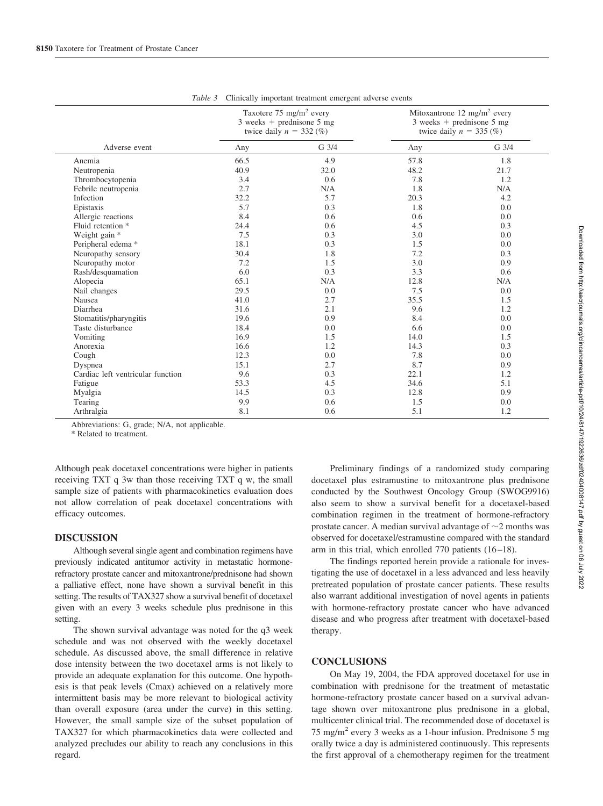|                                   | Taxotere 75 mg/m <sup>2</sup> every<br>$3$ weeks + prednisone $5$ mg<br>twice daily $n = 332\ (%)$ |                  | Mitoxantrone 12 mg/m <sup>2</sup> every<br>$3$ weeks + prednisone $5$ mg<br>twice daily $n = 335$ (%) |                 |
|-----------------------------------|----------------------------------------------------------------------------------------------------|------------------|-------------------------------------------------------------------------------------------------------|-----------------|
| Adverse event                     | Any                                                                                                | G <sub>3/4</sub> | Any                                                                                                   | $G \frac{3}{4}$ |
| Anemia                            | 66.5                                                                                               | 4.9              | 57.8                                                                                                  | 1.8             |
| Neutropenia                       | 40.9                                                                                               | 32.0             | 48.2                                                                                                  | 21.7            |
| Thrombocytopenia                  | 3.4                                                                                                | 0.6              | 7.8                                                                                                   | 1.2             |
| Febrile neutropenia               | 2.7                                                                                                | N/A              | 1.8                                                                                                   | N/A             |
| Infection                         | 32.2                                                                                               | 5.7              | 20.3                                                                                                  | 4.2             |
| Epistaxis                         | 5.7                                                                                                | 0.3              | 1.8                                                                                                   | 0.0             |
| Allergic reactions                | 8.4                                                                                                | 0.6              | 0.6                                                                                                   | 0.0             |
| Fluid retention *                 | 24.4                                                                                               | 0.6              | 4.5                                                                                                   | 0.3             |
| Weight gain *                     | 7.5                                                                                                | 0.3              | 3.0                                                                                                   | 0.0             |
| Peripheral edema *                | 18.1                                                                                               | 0.3              | 1.5                                                                                                   | 0.0             |
| Neuropathy sensory                | 30.4                                                                                               | 1.8              | 7.2                                                                                                   | 0.3             |
| Neuropathy motor                  | 7.2                                                                                                | 1.5              | 3.0                                                                                                   | 0.9             |
| Rash/desquamation                 | 6.0                                                                                                | 0.3              | 3.3                                                                                                   | 0.6             |
| Alopecia                          | 65.1                                                                                               | N/A              | 12.8                                                                                                  | N/A             |
| Nail changes                      | 29.5                                                                                               | 0.0              | 7.5                                                                                                   | 0.0             |
| Nausea                            | 41.0                                                                                               | 2.7              | 35.5                                                                                                  | 1.5             |
| Diarrhea                          | 31.6                                                                                               | 2.1              | 9.6                                                                                                   | 1.2             |
| Stomatitis/pharyngitis            | 19.6                                                                                               | 0.9              | 8.4                                                                                                   | 0.0             |
| Taste disturbance                 | 18.4                                                                                               | 0.0              | 6.6                                                                                                   | 0.0             |
| Vomiting                          | 16.9                                                                                               | 1.5              | 14.0                                                                                                  | 1.5             |
| Anorexia                          | 16.6                                                                                               | 1.2              | 14.3                                                                                                  | 0.3             |
| Cough                             | 12.3                                                                                               | 0.0              | 7.8                                                                                                   | 0.0             |
| Dyspnea                           | 15.1                                                                                               | 2.7              | 8.7                                                                                                   | 0.9             |
| Cardiac left ventricular function | 9.6                                                                                                | 0.3              | 22.1                                                                                                  | 1.2             |
| Fatigue                           | 53.3                                                                                               | 4.5              | 34.6                                                                                                  | 5.1             |
| Myalgia                           | 14.5                                                                                               | 0.3              | 12.8                                                                                                  | 0.9             |
| Tearing                           | 9.9                                                                                                | 0.6              | 1.5                                                                                                   | 0.0             |
| Arthralgia                        | 8.1                                                                                                | 0.6              | 5.1                                                                                                   | 1.2             |

*Table 3* Clinically important treatment emergent adverse events

Abbreviations: G, grade; N/A, not applicable.

\* Related to treatment.

Although peak docetaxel concentrations were higher in patients receiving TXT q 3w than those receiving TXT q w, the small sample size of patients with pharmacokinetics evaluation does not allow correlation of peak docetaxel concentrations with efficacy outcomes.

# **DISCUSSION**

Although several single agent and combination regimens have previously indicated antitumor activity in metastatic hormonerefractory prostate cancer and mitoxantrone/prednisone had shown a palliative effect, none have shown a survival benefit in this setting. The results of TAX327 show a survival benefit of docetaxel given with an every 3 weeks schedule plus prednisone in this setting.

The shown survival advantage was noted for the q3 week schedule and was not observed with the weekly docetaxel schedule. As discussed above, the small difference in relative dose intensity between the two docetaxel arms is not likely to provide an adequate explanation for this outcome. One hypothesis is that peak levels (Cmax) achieved on a relatively more intermittent basis may be more relevant to biological activity than overall exposure (area under the curve) in this setting. However, the small sample size of the subset population of TAX327 for which pharmacokinetics data were collected and analyzed precludes our ability to reach any conclusions in this regard.

Preliminary findings of a randomized study comparing docetaxel plus estramustine to mitoxantrone plus prednisone conducted by the Southwest Oncology Group (SWOG9916) also seem to show a survival benefit for a docetaxel-based combination regimen in the treatment of hormone-refractory prostate cancer. A median survival advantage of  $\sim$  2 months was observed for docetaxel/estramustine compared with the standard arm in this trial, which enrolled  $770$  patients  $(16-18)$ .

The findings reported herein provide a rationale for investigating the use of docetaxel in a less advanced and less heavily pretreated population of prostate cancer patients. These results also warrant additional investigation of novel agents in patients with hormone-refractory prostate cancer who have advanced disease and who progress after treatment with docetaxel-based therapy.

# **CONCLUSIONS**

On May 19, 2004, the FDA approved docetaxel for use in combination with prednisone for the treatment of metastatic hormone-refractory prostate cancer based on a survival advantage shown over mitoxantrone plus prednisone in a global, multicenter clinical trial. The recommended dose of docetaxel is 75 mg/m<sup>2</sup> every 3 weeks as a 1-hour infusion. Prednisone 5 mg orally twice a day is administered continuously. This represents the first approval of a chemotherapy regimen for the treatment